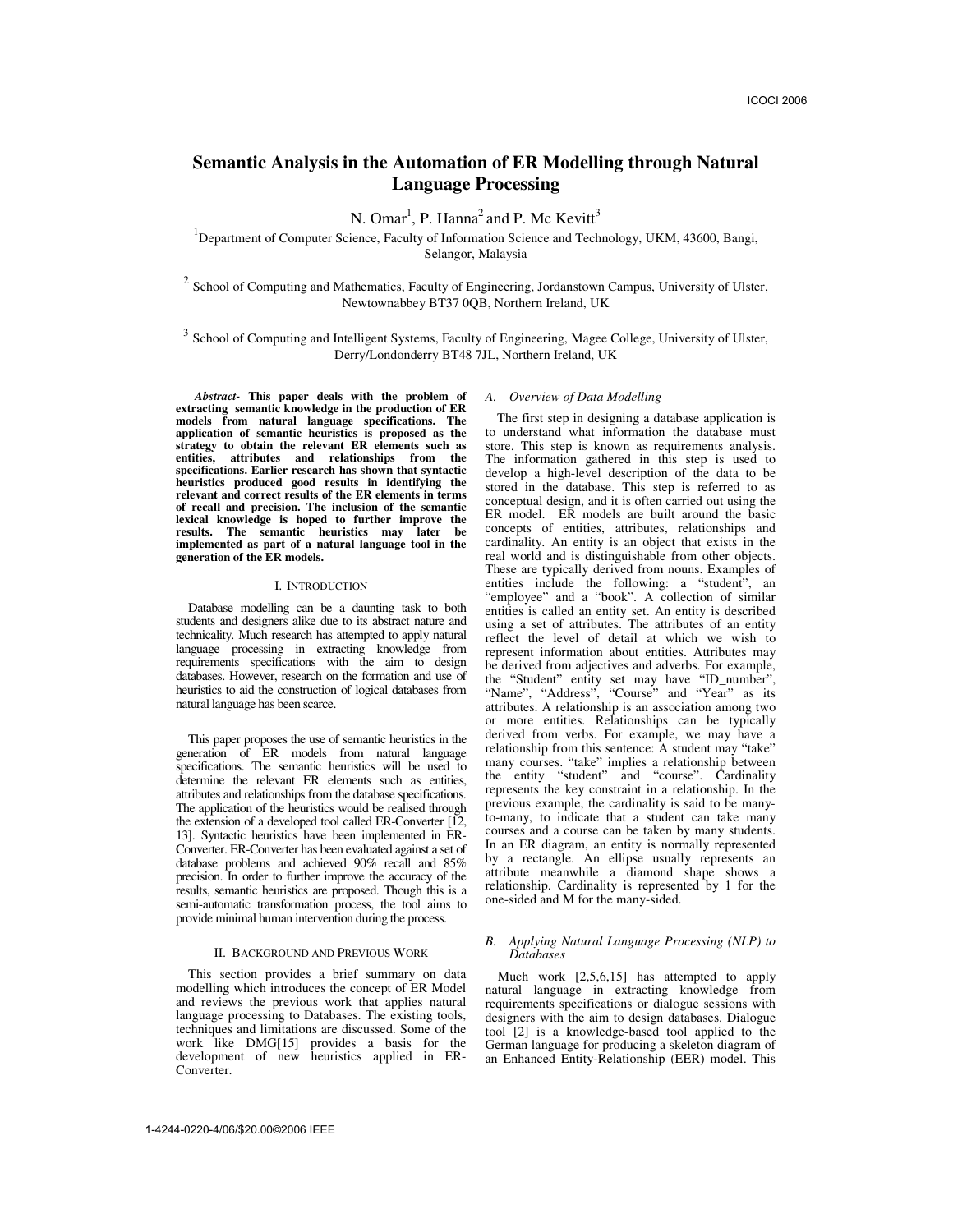# **Semantic Analysis in the Automation of ER Modelling through Natural Language Processing**

N. Omar<sup>1</sup>, P. Hanna<sup>2</sup> and P. Mc Kevitt<sup>3</sup>

<sup>1</sup>Department of Computer Science, Faculty of Information Science and Technology, UKM, 43600, Bangi, Selangor, Malaysia

 $2$  School of Computing and Mathematics, Faculty of Engineering, Jordanstown Campus, University of Ulster, Newtownabbey BT37 0QB, Northern Ireland, UK

<sup>3</sup> School of Computing and Intelligent Systems, Faculty of Engineering, Magee College, University of Ulster, Derry/Londonderry BT48 7JL, Northern Ireland, UK

*Abstract***- This paper deals with the problem of extracting semantic knowledge in the production of ER models from natural language specifications. The application of semantic heuristics is proposed as the strategy to obtain the relevant ER elements such as entities, attributes and relationships from the specifications. Earlier research has shown that syntactic heuristics produced good results in identifying the relevant and correct results of the ER elements in terms of recall and precision. The inclusion of the semantic lexical knowledge is hoped to further improve the results. The semantic heuristics may later be implemented as part of a natural language tool in the generation of the ER models.** 

#### I. INTRODUCTION

Database modelling can be a daunting task to both students and designers alike due to its abstract nature and technicality. Much research has attempted to apply natural language processing in extracting knowledge from requirements specifications with the aim to design databases. However, research on the formation and use of heuristics to aid the construction of logical databases from natural language has been scarce.

This paper proposes the use of semantic heuristics in the generation of ER models from natural language specifications. The semantic heuristics will be used to determine the relevant ER elements such as entities, attributes and relationships from the database specifications. The application of the heuristics would be realised through the extension of a developed tool called ER-Converter [12, 13]. Syntactic heuristics have been implemented in ER-Converter. ER-Converter has been evaluated against a set of database problems and achieved 90% recall and 85% precision. In order to further improve the accuracy of the results, semantic heuristics are proposed. Though this is a semi-automatic transformation process, the tool aims to provide minimal human intervention during the process.

#### II. BACKGROUND AND PREVIOUS WORK

This section provides a brief summary on data modelling which introduces the concept of ER Model and reviews the previous work that applies natural language processing to Databases. The existing tools, techniques and limitations are discussed. Some of the work like DMG[15] provides a basis for the development of new heuristics applied in ER-Converter.

## *A. Overview of Data Modelling*

The first step in designing a database application is to understand what information the database must store. This step is known as requirements analysis. The information gathered in this step is used to develop a high-level description of the data to be stored in the database. This step is referred to as conceptual design, and it is often carried out using the ER model. ER models are built around the basic concepts of entities, attributes, relationships and cardinality. An entity is an object that exists in the real world and is distinguishable from other objects. These are typically derived from nouns. Examples of entities include the following: a "student", an "employee" and a "book". A collection of similar entities is called an entity set. An entity is described using a set of attributes. The attributes of an entity reflect the level of detail at which we wish to represent information about entities. Attributes may be derived from adjectives and adverbs. For example, the "Student" entity set may have "ID\_number", "Name", "Address", "Course" and "Year" as its attributes. A relationship is an association among two or more entities. Relationships can be typically derived from verbs. For example, we may have a relationship from this sentence: A student may "take" many courses. "take" implies a relationship between the entity "student" and "course". Cardinality represents the key constraint in a relationship. In the previous example, the cardinality is said to be manyto-many, to indicate that a student can take many courses and a course can be taken by many students. In an ER diagram, an entity is normally represented by a rectangle. An ellipse usually represents an attribute meanwhile a diamond shape shows a relationship. Cardinality is represented by 1 for the one-sided and M for the many-sided.

# *B. Applying Natural Language Processing (NLP) to Databases*

Much work [2,5,6,15] has attempted to apply natural language in extracting knowledge from requirements specifications or dialogue sessions with designers with the aim to design databases. Dialogue tool [2] is a knowledge-based tool applied to the German language for producing a skeleton diagram of an Enhanced Entity-Relationship (EER) model. This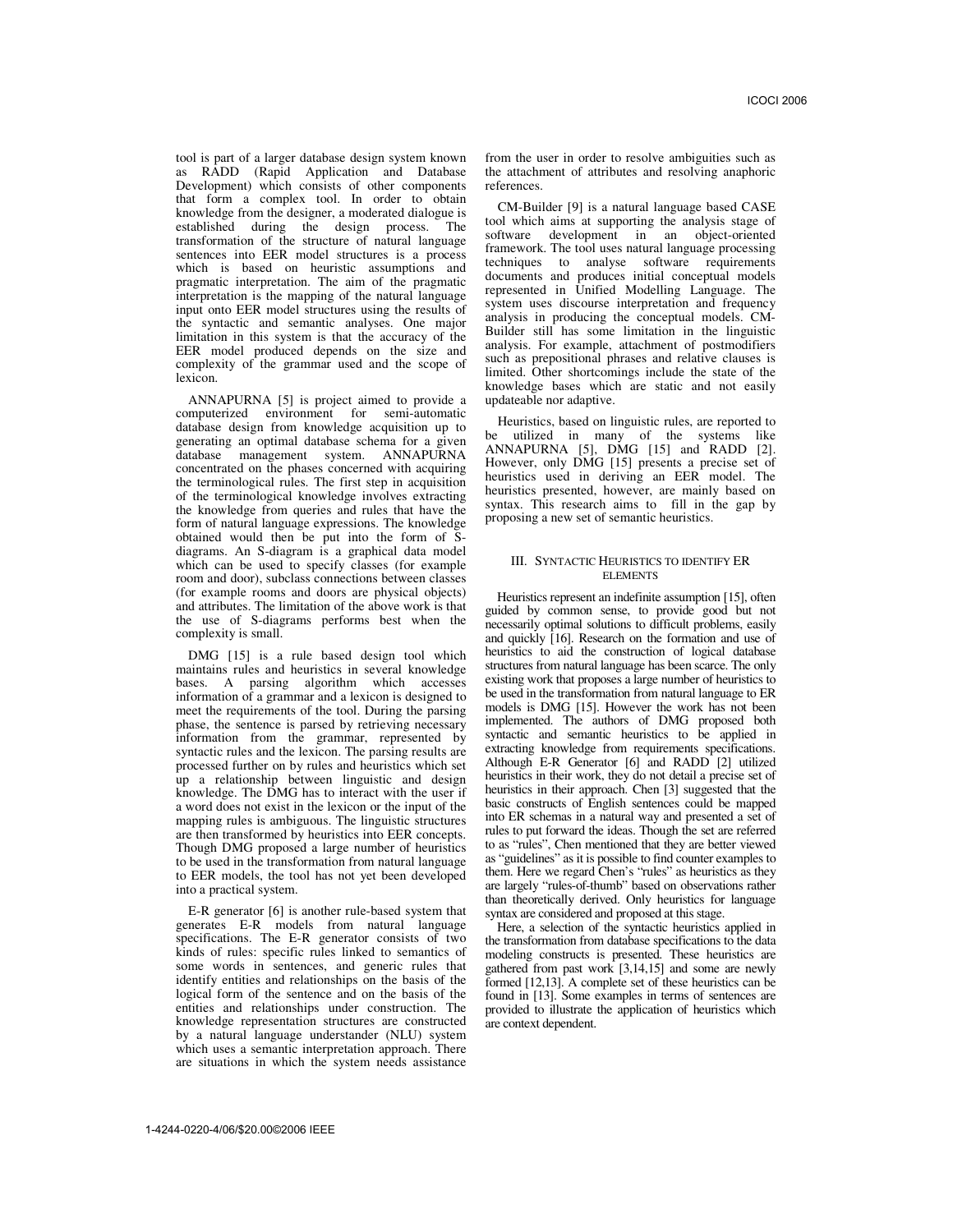tool is part of a larger database design system known as RADD (Rapid Application and Database Development) which consists of other components that form a complex tool. In order to obtain knowledge from the designer, a moderated dialogue is established during the design process. The transformation of the structure of natural language sentences into EER model structures is a process which is based on heuristic assumptions and pragmatic interpretation. The aim of the pragmatic interpretation is the mapping of the natural language input onto EER model structures using the results of the syntactic and semantic analyses. One major limitation in this system is that the accuracy of the EER model produced depends on the size and complexity of the grammar used and the scope of lexicon.

ANNAPURNA [5] is project aimed to provide a computerized environment for semi-automatic database design from knowledge acquisition up to generating an optimal database schema for a given database management system. ANNAPURNA concentrated on the phases concerned with acquiring the terminological rules. The first step in acquisition of the terminological knowledge involves extracting the knowledge from queries and rules that have the form of natural language expressions. The knowledge obtained would then be put into the form of Sdiagrams. An S-diagram is a graphical data model which can be used to specify classes (for example room and door), subclass connections between classes (for example rooms and doors are physical objects) and attributes. The limitation of the above work is that the use of S-diagrams performs best when the complexity is small.

DMG [15] is a rule based design tool which maintains rules and heuristics in several knowledge bases. A parsing algorithm which accesses information of a grammar and a lexicon is designed to meet the requirements of the tool. During the parsing phase, the sentence is parsed by retrieving necessary information from the grammar, represented by syntactic rules and the lexicon. The parsing results are processed further on by rules and heuristics which set up a relationship between linguistic and design knowledge. The DMG has to interact with the user if a word does not exist in the lexicon or the input of the mapping rules is ambiguous. The linguistic structures are then transformed by heuristics into EER concepts. Though DMG proposed a large number of heuristics to be used in the transformation from natural language to EER models, the tool has not yet been developed into a practical system.

E-R generator [6] is another rule-based system that generates E-R models from natural language specifications. The E-R generator consists of two kinds of rules: specific rules linked to semantics of some words in sentences, and generic rules that identify entities and relationships on the basis of the logical form of the sentence and on the basis of the entities and relationships under construction. The knowledge representation structures are constructed by a natural language understander (NLU) system which uses a semantic interpretation approach. There are situations in which the system needs assistance

from the user in order to resolve ambiguities such as the attachment of attributes and resolving anaphoric references.

CM-Builder [9] is a natural language based CASE tool which aims at supporting the analysis stage of software development in an object-oriented framework. The tool uses natural language processing techniques to analyse software requirements documents and produces initial conceptual models represented in Unified Modelling Language. The system uses discourse interpretation and frequency analysis in producing the conceptual models. CM-Builder still has some limitation in the linguistic analysis. For example, attachment of postmodifiers such as prepositional phrases and relative clauses is limited. Other shortcomings include the state of the knowledge bases which are static and not easily updateable nor adaptive.

Heuristics, based on linguistic rules, are reported to be utilized in many of the systems like ANNAPURNA [5], DMG [15] and RADD [2]. However, only DMG [15] presents a precise set of heuristics used in deriving an EER model. The heuristics presented, however, are mainly based on syntax. This research aims to fill in the gap by proposing a new set of semantic heuristics.

### III. SYNTACTIC HEURISTICS TO IDENTIFY ER **ELEMENTS**

Heuristics represent an indefinite assumption [15], often guided by common sense, to provide good but not necessarily optimal solutions to difficult problems, easily and quickly [16]. Research on the formation and use of heuristics to aid the construction of logical database structures from natural language has been scarce. The only existing work that proposes a large number of heuristics to be used in the transformation from natural language to ER models is DMG [15]. However the work has not been implemented. The authors of DMG proposed both syntactic and semantic heuristics to be applied in extracting knowledge from requirements specifications. Although E-R Generator [6] and RADD [2] utilized heuristics in their work, they do not detail a precise set of heuristics in their approach. Chen [3] suggested that the basic constructs of English sentences could be mapped into ER schemas in a natural way and presented a set of rules to put forward the ideas. Though the set are referred to as "rules", Chen mentioned that they are better viewed as "guidelines" as it is possible to find counter examples to them. Here we regard Chen's "rules" as heuristics as they are largely "rules-of-thumb" based on observations rather than theoretically derived. Only heuristics for language syntax are considered and proposed at this stage.

Here, a selection of the syntactic heuristics applied in the transformation from database specifications to the data modeling constructs is presented. These heuristics are gathered from past work [3,14,15] and some are newly formed [12,13]. A complete set of these heuristics can be found in [13]. Some examples in terms of sentences are provided to illustrate the application of heuristics which are context dependent.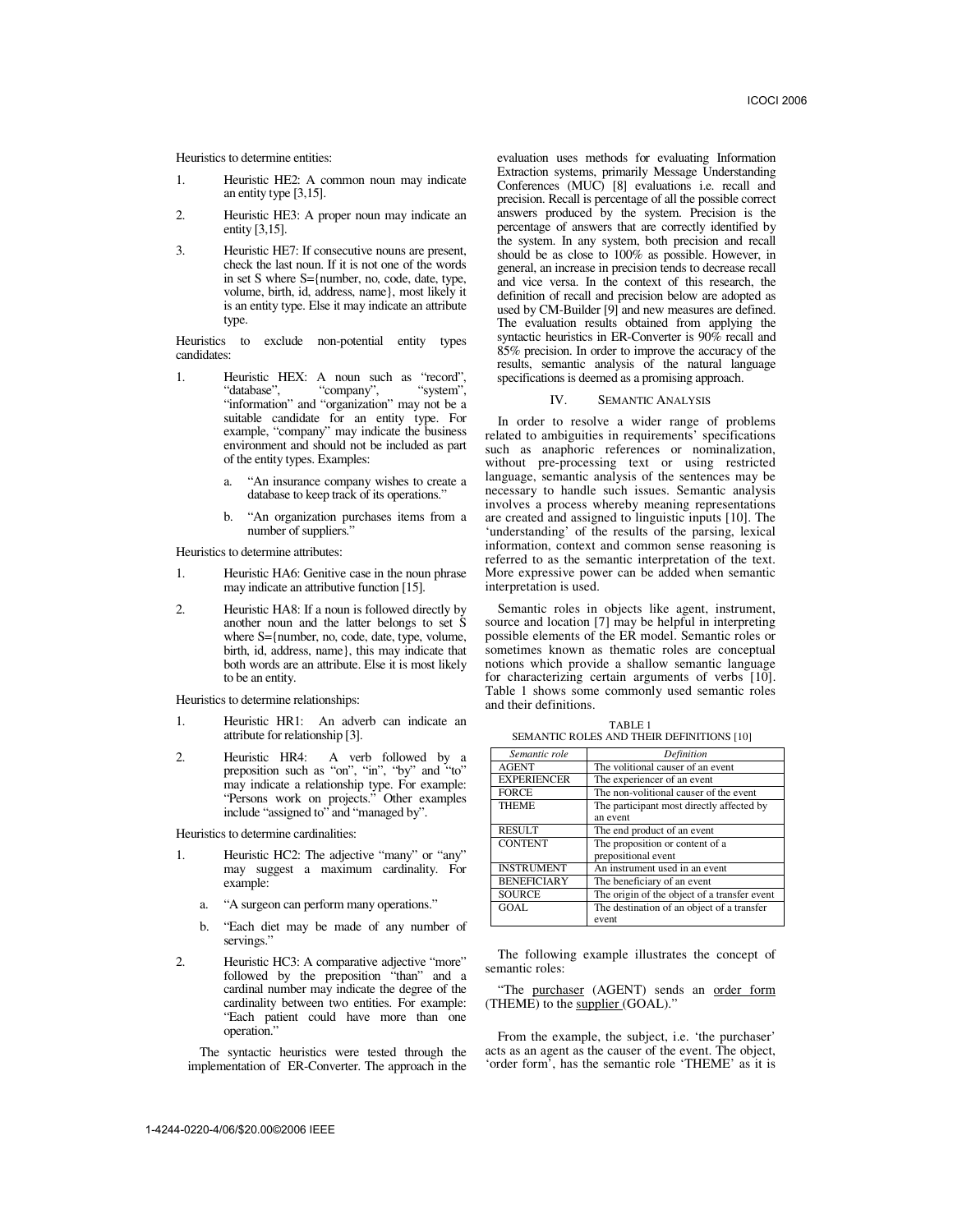Heuristics to determine entities:

- 1. Heuristic HE2: A common noun may indicate an entity type [3,15].
- 2. Heuristic HE3: A proper noun may indicate an entity [3,15].
- 3. Heuristic HE7: If consecutive nouns are present, check the last noun. If it is not one of the words in set S where S={number, no, code, date, type, volume, birth, id, address, name}, most likely it is an entity type. Else it may indicate an attribute type.

Heuristics to exclude non-potential entity types candidates:

- 1. Heuristic HEX: A noun such as "record", "database", "company", "system", "information" and "organization" may not be a suitable candidate for an entity type. For example, "company" may indicate the business environment and should not be included as part of the entity types. Examples:
	- a. "An insurance company wishes to create a database to keep track of its operations."
	- b. "An organization purchases items from a number of suppliers."

Heuristics to determine attributes:

- 1. Heuristic HA6: Genitive case in the noun phrase may indicate an attributive function [15].
- 2. Heuristic HA8: If a noun is followed directly by another noun and the latter belongs to set S where S={number, no, code, date, type, volume, birth, id, address, name}, this may indicate that both words are an attribute. Else it is most likely to be an entity.

Heuristics to determine relationships:

- 1. Heuristic HR1: An adverb can indicate an attribute for relationship [3].
- 2. Heuristic HR4: A verb followed by a preposition such as "on", "in", "by" and "to" may indicate a relationship type. For example: "Persons work on projects." Other examples include "assigned to" and "managed by".

Heuristics to determine cardinalities:

- 1. Heuristic HC2: The adjective "many" or "any" may suggest a maximum cardinality. For example:
	- a. "A surgeon can perform many operations."
	- b. "Each diet may be made of any number of servings."
- 2. Heuristic HC3: A comparative adjective "more" followed by the preposition "than" and a cardinal number may indicate the degree of the cardinality between two entities. For example: "Each patient could have more than one operation."

The syntactic heuristics were tested through the implementation of ER-Converter. The approach in the evaluation uses methods for evaluating Information Extraction systems, primarily Message Understanding Conferences (MUC) [8] evaluations i.e. recall and precision. Recall is percentage of all the possible correct answers produced by the system. Precision is the percentage of answers that are correctly identified by the system. In any system, both precision and recall should be as close to 100% as possible. However, in general, an increase in precision tends to decrease recall and vice versa. In the context of this research, the definition of recall and precision below are adopted as used by CM-Builder [9] and new measures are defined. The evaluation results obtained from applying the syntactic heuristics in ER-Converter is 90% recall and 85% precision. In order to improve the accuracy of the results, semantic analysis of the natural language specifications is deemed as a promising approach.

# IV. SEMANTIC ANALYSIS

In order to resolve a wider range of problems related to ambiguities in requirements' specifications such as anaphoric references or nominalization, without pre-processing text or using restricted language, semantic analysis of the sentences may be necessary to handle such issues. Semantic analysis involves a process whereby meaning representations are created and assigned to linguistic inputs [10]. The 'understanding' of the results of the parsing, lexical information, context and common sense reasoning is referred to as the semantic interpretation of the text. More expressive power can be added when semantic interpretation is used.

Semantic roles in objects like agent, instrument, source and location [7] may be helpful in interpreting possible elements of the ER model. Semantic roles or sometimes known as thematic roles are conceptual notions which provide a shallow semantic language for characterizing certain arguments of verbs [10]. Table 1 shows some commonly used semantic roles and their definitions.

TABLE 1 SEMANTIC ROLES AND THEIR DEFINITIONS [10]

| Semantic role      | Definition                                   |
|--------------------|----------------------------------------------|
| <b>AGENT</b>       | The volitional causer of an event            |
| <b>EXPERIENCER</b> | The experiencer of an event                  |
| <b>FORCE</b>       | The non-volitional causer of the event       |
| <b>THEME</b>       | The participant most directly affected by    |
|                    | an event                                     |
| <b>RESULT</b>      | The end product of an event                  |
| <b>CONTENT</b>     | The proposition or content of a              |
|                    | prepositional event                          |
| <b>INSTRUMENT</b>  | An instrument used in an event               |
| <b>BENEFICIARY</b> | The beneficiary of an event                  |
| <b>SOURCE</b>      | The origin of the object of a transfer event |
| <b>GOAL</b>        | The destination of an object of a transfer   |
|                    | event                                        |

The following example illustrates the concept of semantic roles:

"The purchaser (AGENT) sends an order form (THEME) to the supplier (GOAL)."

From the example, the subject, i.e. 'the purchaser' acts as an agent as the causer of the event. The object, 'order form', has the semantic role 'THEME' as it is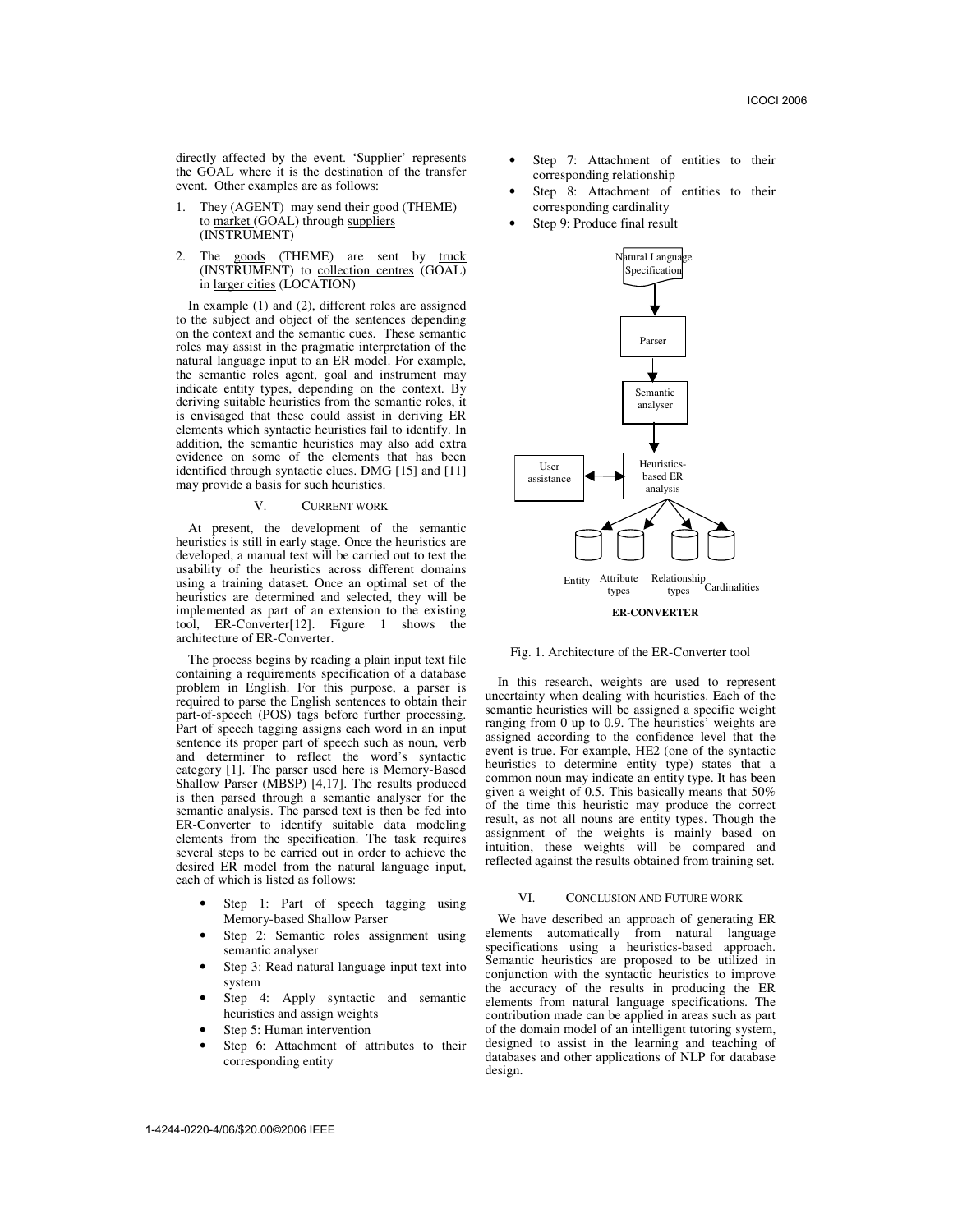directly affected by the event. 'Supplier' represents the GOAL where it is the destination of the transfer event. Other examples are as follows:

- 1. They (AGENT) may send their good (THEME) to market (GOAL) through suppliers (INSTRUMENT)
- 2. The goods (THEME) are sent by truck (INSTRUMENT) to collection centres (GOAL) in larger cities (LOCATION)

In example (1) and (2), different roles are assigned to the subject and object of the sentences depending on the context and the semantic cues. These semantic roles may assist in the pragmatic interpretation of the natural language input to an ER model. For example, the semantic roles agent, goal and instrument may indicate entity types, depending on the context. By deriving suitable heuristics from the semantic roles, it is envisaged that these could assist in deriving ER elements which syntactic heuristics fail to identify. In addition, the semantic heuristics may also add extra evidence on some of the elements that has been identified through syntactic clues. DMG [15] and [11] may provide a basis for such heuristics.

## V. CURRENT WORK

At present, the development of the semantic heuristics is still in early stage. Once the heuristics are developed, a manual test will be carried out to test the usability of the heuristics across different domains using a training dataset. Once an optimal set of the heuristics are determined and selected, they will be implemented as part of an extension to the existing tool, ER-Converter[12]. Figure 1 shows the architecture of ER-Converter.

The process begins by reading a plain input text file containing a requirements specification of a database problem in English. For this purpose, a parser is required to parse the English sentences to obtain their part-of-speech (POS) tags before further processing. Part of speech tagging assigns each word in an input sentence its proper part of speech such as noun, verb and determiner to reflect the word's syntactic category [1]. The parser used here is Memory-Based Shallow Parser (MBSP) [4,17]. The results produced is then parsed through a semantic analyser for the semantic analysis. The parsed text is then be fed into ER-Converter to identify suitable data modeling elements from the specification. The task requires several steps to be carried out in order to achieve the desired ER model from the natural language input, each of which is listed as follows:

- Step 1: Part of speech tagging using Memory-based Shallow Parser
- Step 2: Semantic roles assignment using semantic analyser
- Step 3: Read natural language input text into system
- Step 4: Apply syntactic and semantic heuristics and assign weights
- Step 5: Human intervention
- Step 6: Attachment of attributes to their corresponding entity
- Step 7: Attachment of entities to their corresponding relationship
- Step 8: Attachment of entities to their corresponding cardinality
- Step 9: Produce final result



Fig. 1. Architecture of the ER-Converter tool

In this research, weights are used to represent uncertainty when dealing with heuristics. Each of the semantic heuristics will be assigned a specific weight ranging from 0 up to 0.9. The heuristics' weights are assigned according to the confidence level that the event is true. For example, HE2 (one of the syntactic heuristics to determine entity type) states that a common noun may indicate an entity type. It has been given a weight of 0.5. This basically means that 50% of the time this heuristic may produce the correct result, as not all nouns are entity types. Though the assignment of the weights is mainly based on intuition, these weights will be compared and reflected against the results obtained from training set.

## VI. CONCLUSION AND FUTURE WORK

We have described an approach of generating ER elements automatically from natural language specifications using a heuristics-based approach. Semantic heuristics are proposed to be utilized in conjunction with the syntactic heuristics to improve the accuracy of the results in producing the ER elements from natural language specifications. The contribution made can be applied in areas such as part of the domain model of an intelligent tutoring system, designed to assist in the learning and teaching of databases and other applications of NLP for database design.